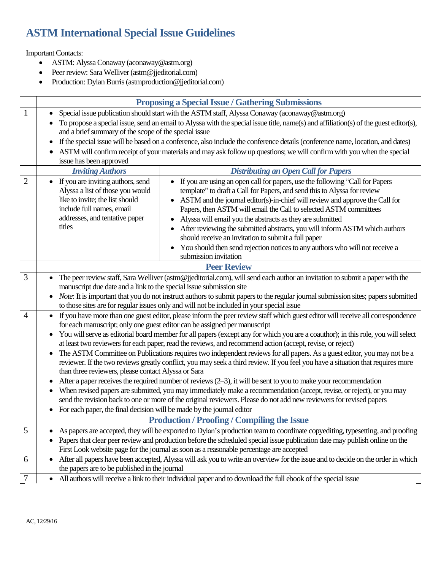# **ASTM International Special Issue Guidelines**

Important Contacts:

- ASTM: Alyssa Conaway (aconaway@astm.org)
- Peer review: Sara Welliver (astm@jjeditorial.com)
- Production: Dylan Burris (astmproduction@jjeditorial.com)

|                | <b>Proposing a Special Issue / Gathering Submissions</b>                                                                                                                                                                                    |
|----------------|---------------------------------------------------------------------------------------------------------------------------------------------------------------------------------------------------------------------------------------------|
| $\mathbf{1}$   | Special issue publication should start with the ASTM staff, Alyssa Conaway (aconaway@astm.org)<br>To propose a special issue, send an email to Alyssa with the special issue title, name(s) and affiliation(s) of the guest editor(s),      |
|                | and a brief summary of the scope of the special issue                                                                                                                                                                                       |
|                | If the special issue will be based on a conference, also include the conference details (conference name, location, and dates)                                                                                                              |
|                | ASTM will confirm receipt of your materials and may ask follow up questions; we will confirm with you when the special                                                                                                                      |
|                | issue has been approved                                                                                                                                                                                                                     |
|                | <b>Inviting Authors</b><br><b>Distributing an Open Call for Papers</b>                                                                                                                                                                      |
| $\overline{2}$ | If you are inviting authors, send<br>• If you are using an open call for papers, use the following "Call for Papers"                                                                                                                        |
|                | Alyssa a list of those you would<br>template" to draft a Call for Papers, and send this to Alyssa for review                                                                                                                                |
|                | like to invite; the list should<br>ASTM and the journal editor(s)-in-chief will review and approve the Call for<br>include full names, email<br>Papers, then ASTM will email the Call to selected ASTM committees                           |
|                | addresses, and tentative paper<br>Alyssa will email you the abstracts as they are submitted                                                                                                                                                 |
|                | titles<br>After reviewing the submitted abstracts, you will inform ASTM which authors                                                                                                                                                       |
|                | should receive an invitation to submit a full paper                                                                                                                                                                                         |
|                | You should then send rejection notices to any authors who will not receive a                                                                                                                                                                |
|                | submission invitation                                                                                                                                                                                                                       |
|                | <b>Peer Review</b>                                                                                                                                                                                                                          |
| 3              | The peer review staff, Sara Welliver (astm@jjeditorial.com), will send each author an invitation to submit a paper with the                                                                                                                 |
|                | manuscript due date and a link to the special issue submission site                                                                                                                                                                         |
|                | Note: It is important that you do not instruct authors to submit papers to the regular journal submission sites; papers submitted                                                                                                           |
| $\overline{4}$ | to those sites are for regular issues only and will not be included in your special issue<br>If you have more than one guest editor, please inform the peer review staff which guest editor will receive all correspondence                 |
|                | for each manuscript; only one guest editor can be assigned per manuscript                                                                                                                                                                   |
|                | You will serve as editorial board member for all papers (except any for which you are a coauthor); in this role, you will select                                                                                                            |
|                | at least two reviewers for each paper, read the reviews, and recommend action (accept, revise, or reject)                                                                                                                                   |
|                | The ASTM Committee on Publications requires two independent reviews for all papers. As a guest editor, you may not be a                                                                                                                     |
|                | reviewer. If the two reviews greatly conflict, you may seek a third review. If you feel you have a situation that requires more                                                                                                             |
|                | than three reviewers, please contact Alyssa or Sara                                                                                                                                                                                         |
|                | After a paper receives the required number of reviews $(2-3)$ , it will be sent to you to make your recommendation                                                                                                                          |
|                | When revised papers are submitted, you may immediately make a recommendation (accept, revise, or reject), or you may<br>send the revision back to one or more of the original reviewers. Please do not add new reviewers for revised papers |
|                | For each paper, the final decision will be made by the journal editor                                                                                                                                                                       |
|                | <b>Production / Proofing / Compiling the Issue</b>                                                                                                                                                                                          |
| 5              | As papers are accepted, they will be exported to Dylan's production team to coordinate copyediting, typesetting, and proofing                                                                                                               |
|                | Papers that clear peer review and production before the scheduled special issue publication date may publish online on the                                                                                                                  |
|                | First Look website page for the journal as soon as a reasonable percentage are accepted                                                                                                                                                     |
| 6              | After all papers have been accepted, Alyssa will ask you to write an overview for the issue and to decide on the order in which                                                                                                             |
|                | the papers are to be published in the journal                                                                                                                                                                                               |
| $\overline{7}$ | All authors will receive a link to their individual paper and to download the full ebook of the special issue<br>$\bullet$                                                                                                                  |